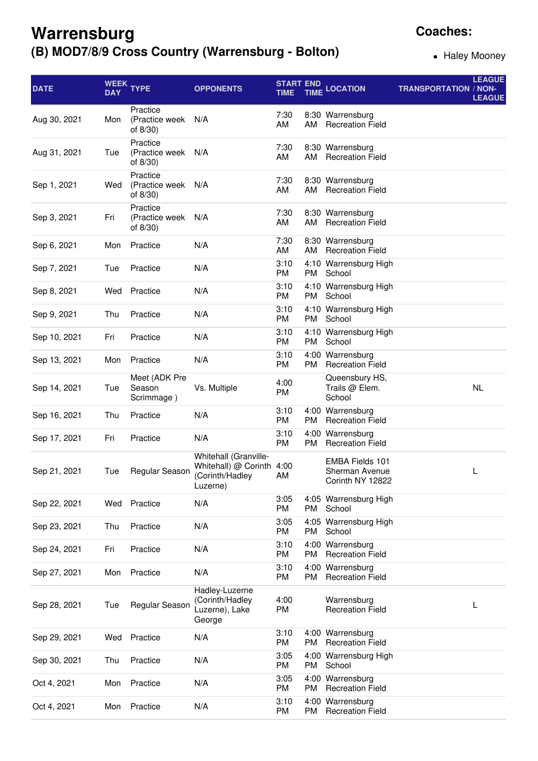## **Warrensburg (B) MOD7/8/9 Cross Country (Warrensburg - Bolton)**

**Coaches:**

• Haley Mooney

| <b>DATE</b>  | <b>DAY</b> | WEEK TYPE                              | <b>OPPONENTS</b>                                                                  | <b>START END</b><br><b>TIME</b> | <b>TIME</b> | <b>LOCATION</b>                                              | <b>TRANSPORTATION / NON-</b> | <b>LEAGUE</b><br><b>LEAGUE</b> |
|--------------|------------|----------------------------------------|-----------------------------------------------------------------------------------|---------------------------------|-------------|--------------------------------------------------------------|------------------------------|--------------------------------|
| Aug 30, 2021 | Mon        | Practice<br>(Practice week<br>of 8/30) | N/A                                                                               | 7:30<br>AM                      | AM          | 8:30 Warrensburg<br><b>Recreation Field</b>                  |                              |                                |
| Aug 31, 2021 | Tue        | Practice<br>(Practice week<br>of 8/30) | N/A                                                                               | 7:30<br>AM                      | AM          | 8:30 Warrensburg<br><b>Recreation Field</b>                  |                              |                                |
| Sep 1, 2021  | Wed        | Practice<br>(Practice week<br>of 8/30) | N/A                                                                               | 7:30<br>AM                      | AM          | 8:30 Warrensburg<br><b>Recreation Field</b>                  |                              |                                |
| Sep 3, 2021  | Fri        | Practice<br>(Practice week<br>of 8/30) | N/A                                                                               | 7:30<br>AM                      | AM          | 8:30 Warrensburg<br><b>Recreation Field</b>                  |                              |                                |
| Sep 6, 2021  | Mon        | Practice                               | N/A                                                                               | 7:30<br>AM                      | AM          | 8:30 Warrensburg<br><b>Recreation Field</b>                  |                              |                                |
| Sep 7, 2021  | Tue        | Practice                               | N/A                                                                               | 3:10<br>PM                      | PM          | 4:10 Warrensburg High<br>School                              |                              |                                |
| Sep 8, 2021  | Wed        | Practice                               | N/A                                                                               | 3:10<br>PM                      | PM          | 4:10 Warrensburg High<br>School                              |                              |                                |
| Sep 9, 2021  | Thu        | Practice                               | N/A                                                                               | 3:10<br>PM                      | PM.         | 4:10 Warrensburg High<br>School                              |                              |                                |
| Sep 10, 2021 | Fri        | Practice                               | N/A                                                                               | 3:10<br><b>PM</b>               | PM          | 4:10 Warrensburg High<br>School                              |                              |                                |
| Sep 13, 2021 | Mon        | Practice                               | N/A                                                                               | 3:10<br>PM                      | <b>PM</b>   | 4:00 Warrensburg<br><b>Recreation Field</b>                  |                              |                                |
| Sep 14, 2021 | Tue        | Meet (ADK Pre<br>Season<br>Scrimmage)  | Vs. Multiple                                                                      | 4:00<br>PM                      |             | Queensbury HS,<br>Trails @ Elem.<br>School                   |                              | <b>NL</b>                      |
| Sep 16, 2021 | Thu        | Practice                               | N/A                                                                               | 3:10<br>PM                      | PM          | 4:00 Warrensburg<br><b>Recreation Field</b>                  |                              |                                |
| Sep 17, 2021 | Fri        | Practice                               | N/A                                                                               | 3:10<br>PM                      | PM          | 4:00 Warrensburg<br><b>Recreation Field</b>                  |                              |                                |
| Sep 21, 2021 | Tue        | Regular Season                         | Whitehall (Granville-<br>Whitehall) @ Corinth 4:00<br>(Corinth/Hadley<br>Luzerne) | AM                              |             | <b>EMBA Fields 101</b><br>Sherman Avenue<br>Corinth NY 12822 |                              | L                              |
| Sep 22, 2021 | Wed        | Practice                               | N/A                                                                               | 3:05<br>PM                      | PM          | 4:05 Warrensburg High<br>School                              |                              |                                |
| Sep 23, 2021 | Thu        | Practice                               | N/A                                                                               | 3:05<br>PM                      | PM          | 4:05 Warrensburg High<br>School                              |                              |                                |
| Sep 24, 2021 | Fri        | Practice                               | N/A                                                                               | 3:10<br>PM                      | PM          | 4:00 Warrensburg<br><b>Recreation Field</b>                  |                              |                                |
| Sep 27, 2021 | Mon        | Practice                               | N/A                                                                               | 3:10<br>PM                      | PM          | 4:00 Warrensburg<br><b>Recreation Field</b>                  |                              |                                |
| Sep 28, 2021 | Tue        | Regular Season                         | Hadley-Luzerne<br>(Corinth/Hadley<br>Luzerne), Lake<br>George                     | 4:00<br>PM                      |             | Warrensburg<br><b>Recreation Field</b>                       |                              | L                              |
| Sep 29, 2021 | Wed        | Practice                               | N/A                                                                               | 3:10<br>PM                      | PM          | 4:00 Warrensburg<br><b>Recreation Field</b>                  |                              |                                |
| Sep 30, 2021 | Thu        | Practice                               | N/A                                                                               | 3:05<br>PM                      | PM          | 4:00 Warrensburg High<br>School                              |                              |                                |
| Oct 4, 2021  | Mon        | Practice                               | N/A                                                                               | 3:05<br>PM                      | PM          | 4:00 Warrensburg<br><b>Recreation Field</b>                  |                              |                                |
| Oct 4, 2021  | Mon        | Practice                               | N/A                                                                               | 3:10<br>PM                      | PM          | 4:00 Warrensburg<br><b>Recreation Field</b>                  |                              |                                |